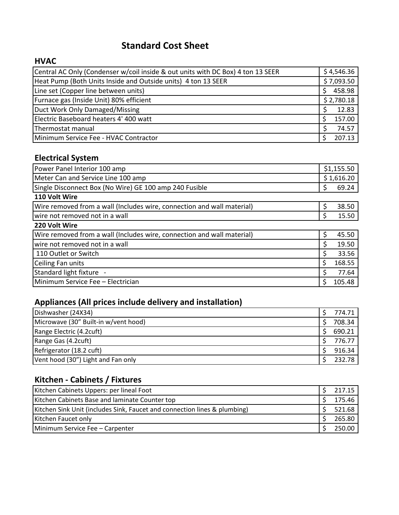## **Standard Cost Sheet**

#### **HVAC**

| Central AC Only (Condenser w/coil inside & out units with DC Box) 4 ton 13 SEER | \$4,546.36 |
|---------------------------------------------------------------------------------|------------|
| Heat Pump (Both Units Inside and Outside units) 4 ton 13 SEER                   | \$7,093.50 |
| Line set (Copper line between units)                                            | 458.98     |
| Furnace gas (Inside Unit) 80% efficient                                         | \$2,780.18 |
| Duct Work Only Damaged/Missing                                                  | 12.83      |
| Electric Baseboard heaters 4' 400 watt                                          | 157.00     |
| Thermostat manual                                                               | 74.57      |
| Minimum Service Fee - HVAC Contractor                                           | 207.13     |

## **Electrical System**

| Power Panel Interior 100 amp                                           | \$1,155.50 |            |
|------------------------------------------------------------------------|------------|------------|
| Meter Can and Service Line 100 amp                                     |            | \$1,616.20 |
| Single Disconnect Box (No Wire) GE 100 amp 240 Fusible                 | Ş          | 69.24      |
| 110 Volt Wire                                                          |            |            |
| Wire removed from a wall (Includes wire, connection and wall material) | $\zeta$    | 38.50      |
| wire not removed not in a wall                                         | S          | 15.50      |
| 220 Volt Wire                                                          |            |            |
| Wire removed from a wall (Includes wire, connection and wall material) | \$         | 45.50      |
| wire not removed not in a wall                                         | \$         | 19.50      |
| 110 Outlet or Switch                                                   | Ŝ.         | 33.56      |
| Ceiling Fan units                                                      | \$         | 168.55     |
| Standard light fixture -                                               | Ŝ          | 77.64      |
| Minimum Service Fee - Electrician                                      | -S         | 105.48     |

## **Appliances (All prices include delivery and installation)**

| Dishwasher (24X34)                   | 774.71 |
|--------------------------------------|--------|
| Microwave (30" Built-in w/vent hood) | 708.34 |
| Range Electric (4.2cuft)             | 690.21 |
| Range Gas (4.2cuft)                  | 776.77 |
| Refrigerator (18.2 cuft)             | 916.34 |
| Vent hood (30") Light and Fan only   | 232.78 |

### **Kitchen - Cabinets / Fixtures**

| Kitchen Cabinets Uppers: per lineal Foot                                  | 217.15 |
|---------------------------------------------------------------------------|--------|
| Kitchen Cabinets Base and laminate Counter top                            | 175.46 |
| Kitchen Sink Unit (includes Sink, Faucet and connection lines & plumbing) | 521.68 |
| Kitchen Faucet only                                                       | 265.80 |
| Minimum Service Fee - Carpenter                                           | 250.00 |